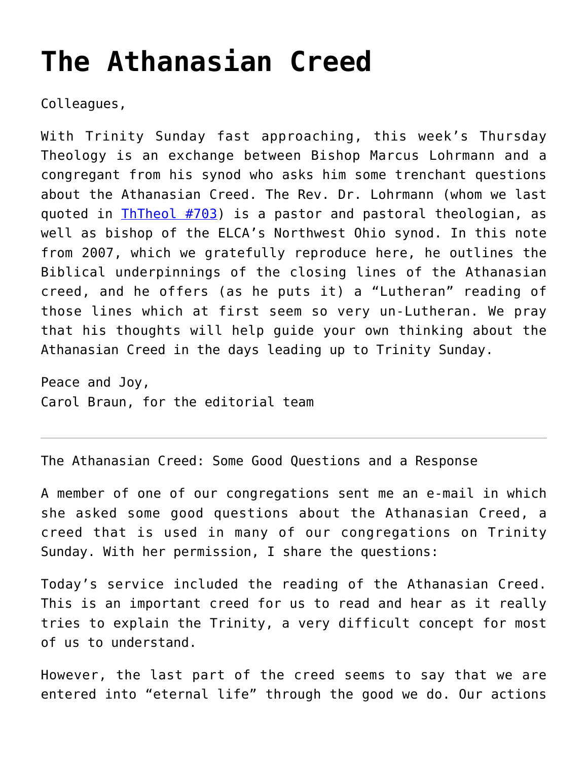## **[The Athanasian Creed](https://crossings.org/the-athanasian-creed/)**

Colleagues,

With Trinity Sunday fast approaching, this week's Thursday Theology is an exchange between Bishop Marcus Lohrmann and a congregant from his synod who asks him some trenchant questions about the Athanasian Creed. The Rev. Dr. Lohrmann (whom we last quoted in [ThTheol #703](https://crossings.org/thursday/2011/thur120111.shtml)) is a pastor and pastoral theologian, as well as bishop of the ELCA's Northwest Ohio synod. In this note from 2007, which we gratefully reproduce here, he outlines the Biblical underpinnings of the closing lines of the Athanasian creed, and he offers (as he puts it) a "Lutheran" reading of those lines which at first seem so very un-Lutheran. We pray that his thoughts will help guide your own thinking about the Athanasian Creed in the days leading up to Trinity Sunday.

Peace and Joy, Carol Braun, for the editorial team

The Athanasian Creed: Some Good Questions and a Response

A member of one of our congregations sent me an e-mail in which she asked some good questions about the Athanasian Creed, a creed that is used in many of our congregations on Trinity Sunday. With her permission, I share the questions:

Today's service included the reading of the Athanasian Creed. This is an important creed for us to read and hear as it really tries to explain the Trinity, a very difficult concept for most of us to understand.

However, the last part of the creed seems to say that we are entered into "eternal life" through the good we do. Our actions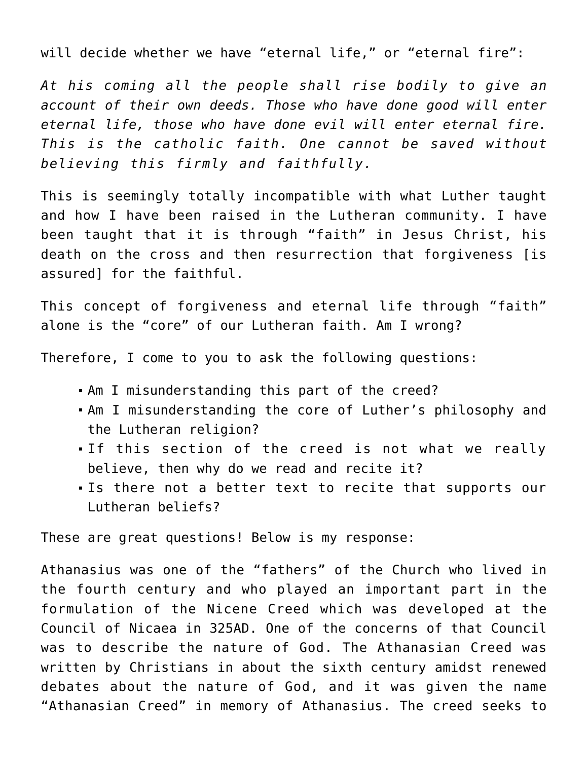will decide whether we have "eternal life," or "eternal fire":

*At his coming all the people shall rise bodily to give an account of their own deeds. Those who have done good will enter eternal life, those who have done evil will enter eternal fire. This is the catholic faith. One cannot be saved without believing this firmly and faithfully.*

This is seemingly totally incompatible with what Luther taught and how I have been raised in the Lutheran community. I have been taught that it is through "faith" in Jesus Christ, his death on the cross and then resurrection that forgiveness [is assured] for the faithful.

This concept of forgiveness and eternal life through "faith" alone is the "core" of our Lutheran faith. Am I wrong?

Therefore, I come to you to ask the following questions:

- Am I misunderstanding this part of the creed?
- Am I misunderstanding the core of Luther's philosophy and the Lutheran religion?
- If this section of the creed is not what we really believe, then why do we read and recite it?
- Is there not a better text to recite that supports our Lutheran beliefs?

These are great questions! Below is my response:

Athanasius was one of the "fathers" of the Church who lived in the fourth century and who played an important part in the formulation of the Nicene Creed which was developed at the Council of Nicaea in 325AD. One of the concerns of that Council was to describe the nature of God. The Athanasian Creed was written by Christians in about the sixth century amidst renewed debates about the nature of God, and it was given the name "Athanasian Creed" in memory of Athanasius. The creed seeks to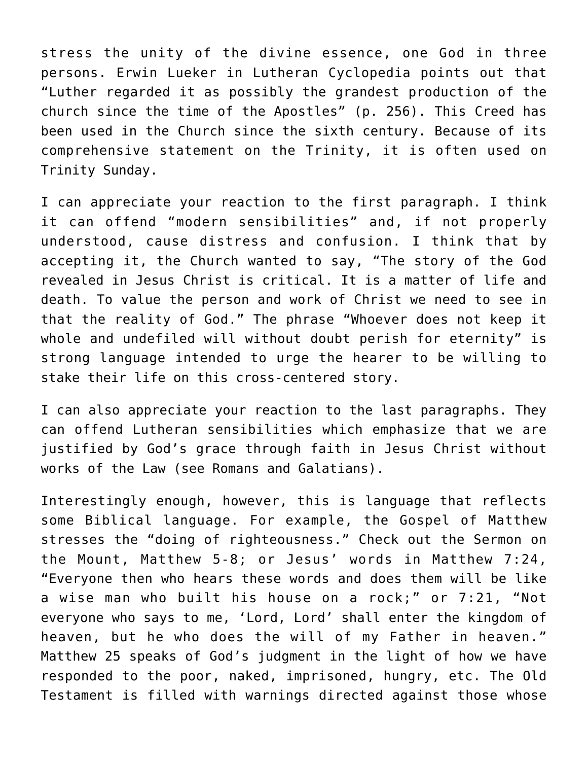stress the unity of the divine essence, one God in three persons. Erwin Lueker in Lutheran Cyclopedia points out that "Luther regarded it as possibly the grandest production of the church since the time of the Apostles" (p. 256). This Creed has been used in the Church since the sixth century. Because of its comprehensive statement on the Trinity, it is often used on Trinity Sunday.

I can appreciate your reaction to the first paragraph. I think it can offend "modern sensibilities" and, if not properly understood, cause distress and confusion. I think that by accepting it, the Church wanted to say, "The story of the God revealed in Jesus Christ is critical. It is a matter of life and death. To value the person and work of Christ we need to see in that the reality of God." The phrase "Whoever does not keep it whole and undefiled will without doubt perish for eternity" is strong language intended to urge the hearer to be willing to stake their life on this cross-centered story.

I can also appreciate your reaction to the last paragraphs. They can offend Lutheran sensibilities which emphasize that we are justified by God's grace through faith in Jesus Christ without works of the Law (see Romans and Galatians).

Interestingly enough, however, this is language that reflects some Biblical language. For example, the Gospel of Matthew stresses the "doing of righteousness." Check out the Sermon on the Mount, Matthew 5-8; or Jesus' words in Matthew 7:24, "Everyone then who hears these words and does them will be like a wise man who built his house on a rock;" or 7:21, "Not everyone who says to me, 'Lord, Lord' shall enter the kingdom of heaven, but he who does the will of my Father in heaven." Matthew 25 speaks of God's judgment in the light of how we have responded to the poor, naked, imprisoned, hungry, etc. The Old Testament is filled with warnings directed against those whose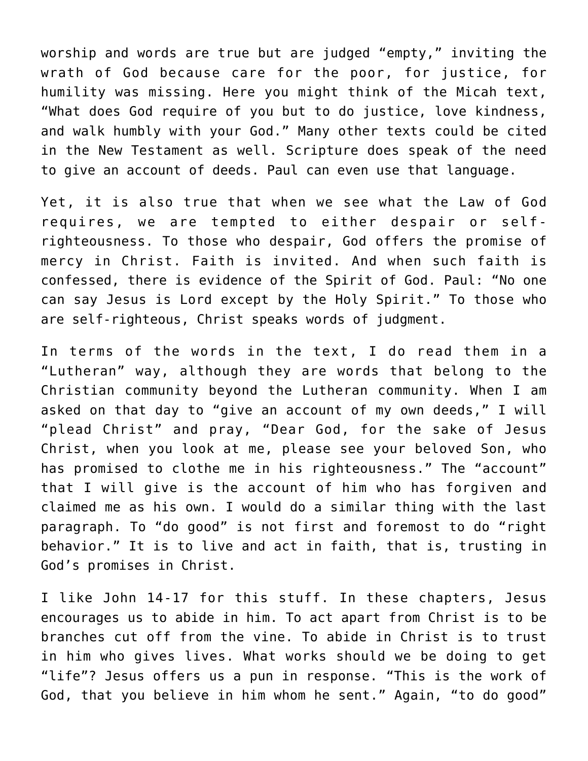worship and words are true but are judged "empty," inviting the wrath of God because care for the poor, for justice, for humility was missing. Here you might think of the Micah text, "What does God require of you but to do justice, love kindness, and walk humbly with your God." Many other texts could be cited in the New Testament as well. Scripture does speak of the need to give an account of deeds. Paul can even use that language.

Yet, it is also true that when we see what the Law of God requires, we are tempted to either despair or selfrighteousness. To those who despair, God offers the promise of mercy in Christ. Faith is invited. And when such faith is confessed, there is evidence of the Spirit of God. Paul: "No one can say Jesus is Lord except by the Holy Spirit." To those who are self-righteous, Christ speaks words of judgment.

In terms of the words in the text, I do read them in a "Lutheran" way, although they are words that belong to the Christian community beyond the Lutheran community. When I am asked on that day to "give an account of my own deeds," I will "plead Christ" and pray, "Dear God, for the sake of Jesus Christ, when you look at me, please see your beloved Son, who has promised to clothe me in his righteousness." The "account" that I will give is the account of him who has forgiven and claimed me as his own. I would do a similar thing with the last paragraph. To "do good" is not first and foremost to do "right behavior." It is to live and act in faith, that is, trusting in God's promises in Christ.

I like John 14-17 for this stuff. In these chapters, Jesus encourages us to abide in him. To act apart from Christ is to be branches cut off from the vine. To abide in Christ is to trust in him who gives lives. What works should we be doing to get "life"? Jesus offers us a pun in response. "This is the work of God, that you believe in him whom he sent." Again, "to do good"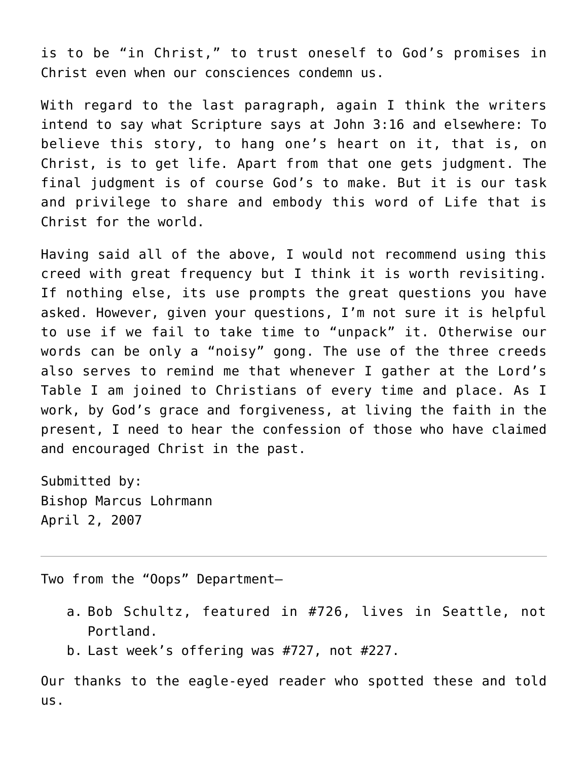is to be "in Christ," to trust oneself to God's promises in Christ even when our consciences condemn us.

With regard to the last paragraph, again I think the writers intend to say what Scripture says at John 3:16 and elsewhere: To believe this story, to hang one's heart on it, that is, on Christ, is to get life. Apart from that one gets judgment. The final judgment is of course God's to make. But it is our task and privilege to share and embody this word of Life that is Christ for the world.

Having said all of the above, I would not recommend using this creed with great frequency but I think it is worth revisiting. If nothing else, its use prompts the great questions you have asked. However, given your questions, I'm not sure it is helpful to use if we fail to take time to "unpack" it. Otherwise our words can be only a "noisy" gong. The use of the three creeds also serves to remind me that whenever I gather at the Lord's Table I am joined to Christians of every time and place. As I work, by God's grace and forgiveness, at living the faith in the present, I need to hear the confession of those who have claimed and encouraged Christ in the past.

Submitted by: Bishop Marcus Lohrmann April 2, 2007

Two from the "Oops" Department—

- a. Bob Schultz, featured in #726, lives in Seattle, not Portland.
- b. Last week's offering was #727, not #227.

Our thanks to the eagle-eyed reader who spotted these and told us.